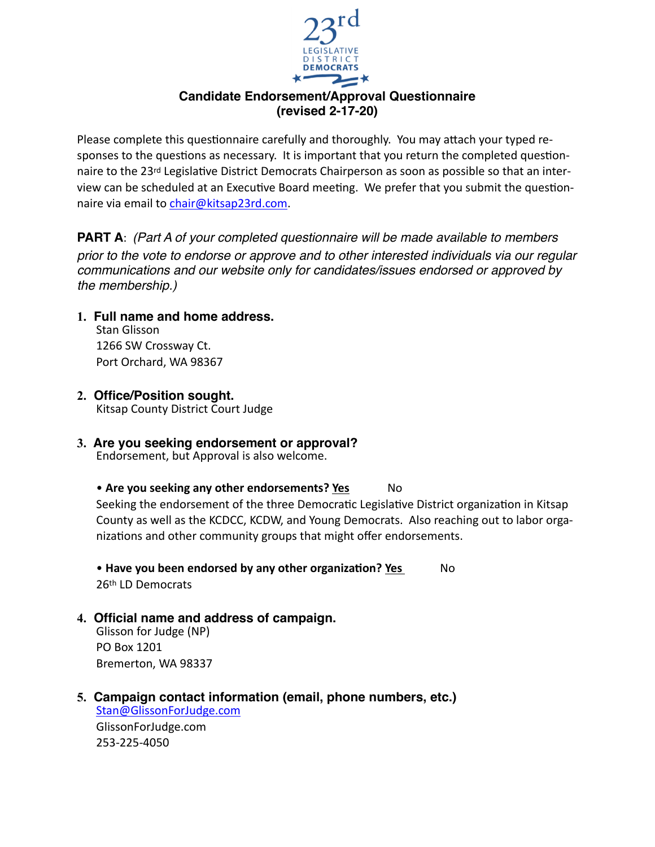

## **Candidate Endorsement/Approval Questionnaire (revised 2-17-20)**

Please complete this questionnaire carefully and thoroughly. You may attach your typed responses to the questions as necessary. It is important that you return the completed questionnaire to the 23<sup>rd</sup> Legislative District Democrats Chairperson as soon as possible so that an interview can be scheduled at an Executive Board meeting. We prefer that you submit the questionnaire via email to [chair@kitsap23rd.com.](mailto:chair@kitsap23rd.com)

**PART A**: *(Part A of your completed questionnaire will be made available to members prior to the vote to endorse or approve and to other interested individuals via our regular communications and our website only for candidates/issues endorsed or approved by the membership.)*

## **1. Full name and home address.**

Stan Glisson 1266 SW Crossway Ct. Port Orchard, WA 98367

**2. Office/Position sought.**

Kitsap County District Court Judge

# **3. Are you seeking endorsement or approval?**

Endorsement, but Approval is also welcome.

## • **Are you seeking any other endorsements? Yes** No

Seeking the endorsement of the three Democratic Legislative District organization in Kitsap County as well as the KCDCC, KCDW, and Young Democrats. Also reaching out to labor organizations and other community groups that might offer endorsements.

• Have you been endorsed by any other organization? Yes No 26th LD Democrats

## **4. Official name and address of campaign.**

Glisson for Judge (NP) PO Box 1201 Bremerton, WA 98337

#### **5. Campaign contact information (email, phone numbers, etc.)** [Stan@GlissonForJudge.com](mailto:Stan@GlissonForJudge.com)

GlissonForJudge.com 253-225-4050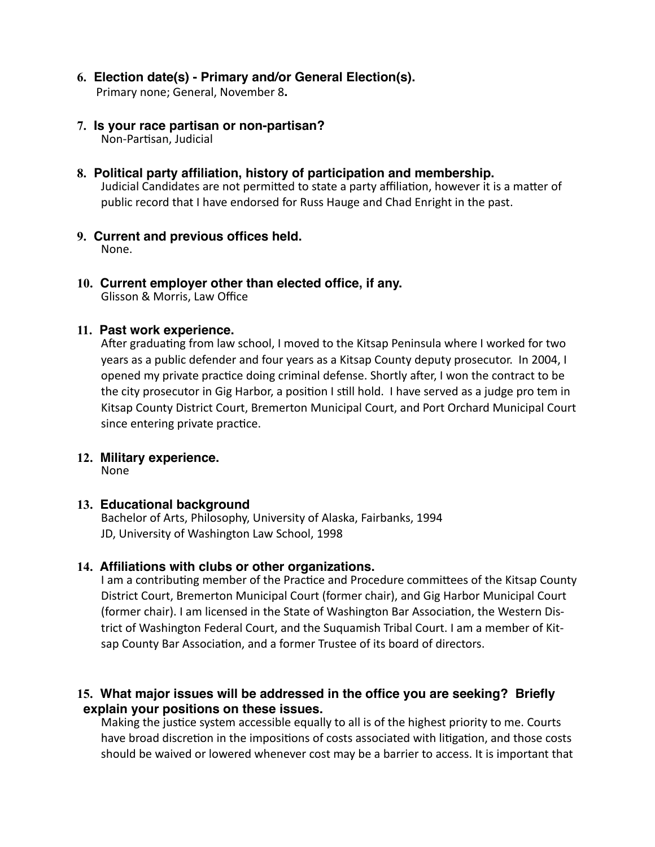- **6. Election date(s) Primary and/or General Election(s).** Primary none; General, November 8**.**
- **7. Is your race partisan or non-partisan?** Non-Partisan, Judicial
- **8. Political party affiliation, history of participation and membership.** Judicial Candidates are not permitted to state a party affiliation, however it is a matter of public record that I have endorsed for Russ Hauge and Chad Enright in the past.
- **9. Current and previous offices held.** None.
- **10. Current employer other than elected office, if any.**  Glisson & Morris, Law Office

### **11. Past work experience.**

After graduating from law school, I moved to the Kitsap Peninsula where I worked for two years as a public defender and four years as a Kitsap County deputy prosecutor. In 2004, I opened my private practice doing criminal defense. Shortly after, I won the contract to be the city prosecutor in Gig Harbor, a position I still hold. I have served as a judge pro tem in Kitsap County District Court, Bremerton Municipal Court, and Port Orchard Municipal Court since entering private practice.

#### **12. Military experience.**

None

#### **13. Educational background**

Bachelor of Arts, Philosophy, University of Alaska, Fairbanks, 1994 JD, University of Washington Law School, 1998

#### **14. Affiliations with clubs or other organizations.**

I am a contributing member of the Practice and Procedure committees of the Kitsap County District Court, Bremerton Municipal Court (former chair), and Gig Harbor Municipal Court (former chair). I am licensed in the State of Washington Bar Association, the Western District of Washington Federal Court, and the Suquamish Tribal Court. I am a member of Kitsap County Bar Association, and a former Trustee of its board of directors.

## **15. What major issues will be addressed in the office you are seeking? Briefly explain your positions on these issues.**

Making the justice system accessible equally to all is of the highest priority to me. Courts have broad discretion in the impositions of costs associated with litigation, and those costs should be waived or lowered whenever cost may be a barrier to access. It is important that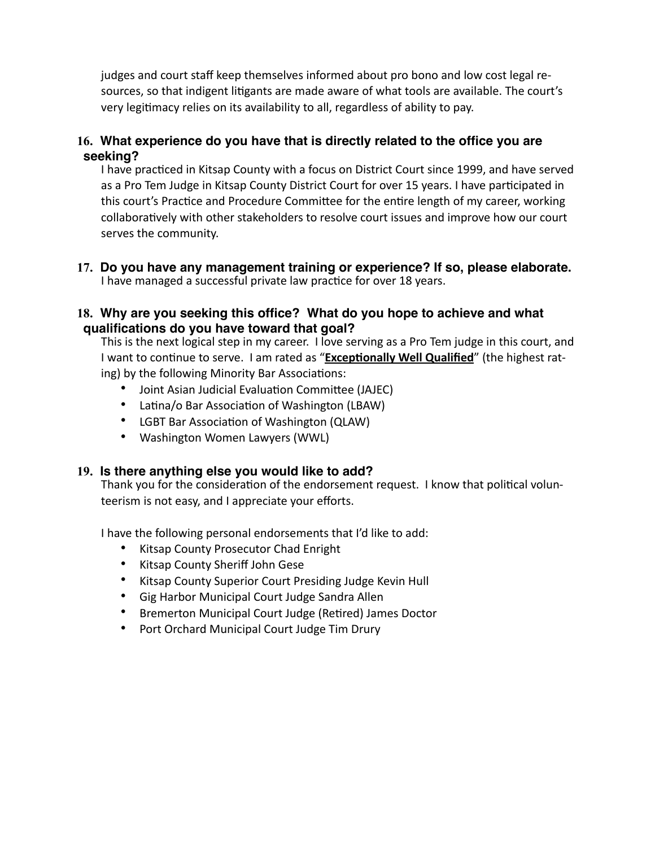judges and court staff keep themselves informed about pro bono and low cost legal resources, so that indigent litigants are made aware of what tools are available. The court's very legitimacy relies on its availability to all, regardless of ability to pay.

## **16. What experience do you have that is directly related to the office you are seeking?**

I have practiced in Kitsap County with a focus on District Court since 1999, and have served as a Pro Tem Judge in Kitsap County District Court for over 15 years. I have participated in this court's Practice and Procedure Committee for the entire length of my career, working collaboratively with other stakeholders to resolve court issues and improve how our court serves the community.

**17. Do you have any management training or experience? If so, please elaborate.**  I have managed a successful private law practice for over 18 years.

## **18. Why are you seeking this office? What do you hope to achieve and what qualifications do you have toward that goal?**

This is the next logical step in my career. I love serving as a Pro Tem judge in this court, and I want to continue to serve. I am rated as "**Exceptionally Well Qualified**" (the highest rating) by the following Minority Bar Associations:

- Joint Asian Judicial Evaluation Committee (JAJEC)
- Latina/o Bar Association of Washington (LBAW)
- LGBT Bar Association of Washington (QLAW)
- Washington Women Lawyers (WWL)

## **19. Is there anything else you would like to add?**

Thank you for the consideration of the endorsement request. I know that political volunteerism is not easy, and I appreciate your efforts.

I have the following personal endorsements that I'd like to add:

- Kitsap County Prosecutor Chad Enright
- Kitsap County Sheriff John Gese
- Kitsap County Superior Court Presiding Judge Kevin Hull
- Gig Harbor Municipal Court Judge Sandra Allen
- Bremerton Municipal Court Judge (Retired) James Doctor
- Port Orchard Municipal Court Judge Tim Drury